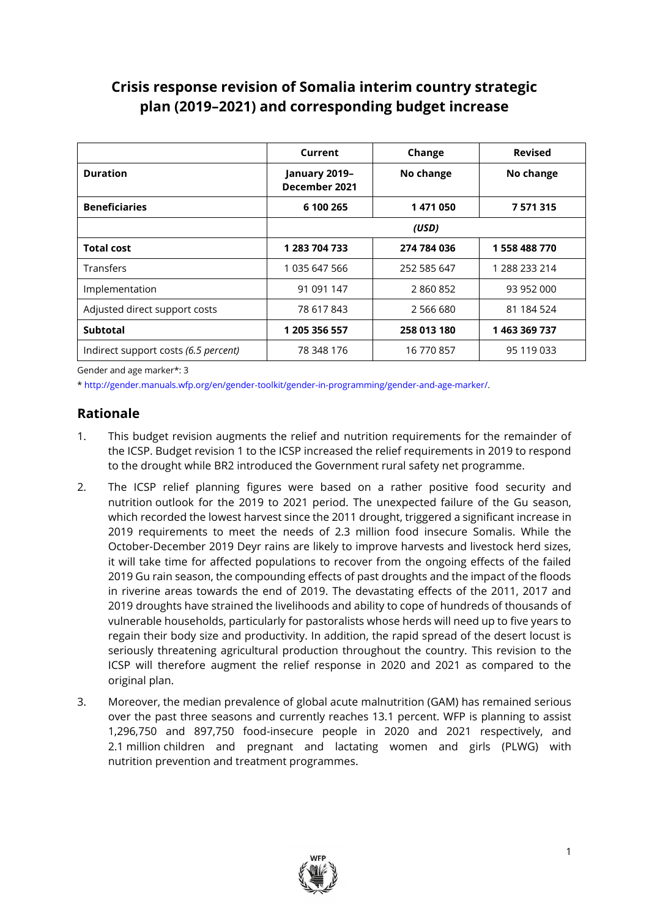# **Crisis response revision of Somalia interim country strategic plan (2019–2021) and corresponding budget increase**

|                                      | Current                        | Change      | <b>Revised</b> |
|--------------------------------------|--------------------------------|-------------|----------------|
| <b>Duration</b>                      | January 2019-<br>December 2021 | No change   | No change      |
| <b>Beneficiaries</b>                 | 6 100 265                      | 1471050     | 7571315        |
|                                      |                                | (USD)       |                |
| <b>Total cost</b>                    | 1 283 704 733                  | 274 784 036 | 1558488770     |
| Transfers                            | 1 035 647 566                  | 252 585 647 | 1 288 233 214  |
| Implementation                       | 91 091 147                     | 2860852     | 93 952 000     |
| Adjusted direct support costs        | 78 617 843                     | 2 566 680   | 81 184 524     |
| <b>Subtotal</b>                      | 1 205 356 557                  | 258 013 180 | 1463369737     |
| Indirect support costs (6.5 percent) | 78 348 176                     | 16 770 857  | 95 119 033     |

Gender and age marker\*: 3

[\\* http://gender.manuals.wfp.org/en/gender-toolkit/gender-in-programming/gender-and-age-marker/.](http://gender.manuals.wfp.org/en/gender-toolkit/gender-in-programming/gender-and-age-marker/)

# **Rationale**

- 1. This budget revision augments the relief and nutrition requirements for the remainder of the ICSP. Budget revision 1 to the ICSP increased the relief requirements in 2019 to respond to the drought while BR2 introduced the Government rural safety net programme.
- 2. The ICSP relief planning figures were based on a rather positive food security and nutrition outlook for the 2019 to 2021 period. The unexpected failure of the Gu season, which recorded the lowest harvest since the 2011 drought, triggered a significant increase in 2019 requirements to meet the needs of 2.3 million food insecure Somalis. While the October-December 2019 Deyr rains are likely to improve harvests and livestock herd sizes, it will take time for affected populations to recover from the ongoing effects of the failed 2019 Gu rain season, the compounding effects of past droughts and the impact of the floods in riverine areas towards the end of 2019. The devastating effects of the 2011, 2017 and 2019 droughts have strained the livelihoods and ability to cope of hundreds of thousands of vulnerable households, particularly for pastoralists whose herds will need up to five years to regain their body size and productivity. In addition, the rapid spread of the desert locust is seriously threatening agricultural production throughout the country. This revision to the ICSP will therefore augment the relief response in 2020 and 2021 as compared to the original plan.
- 3. Moreover, the median prevalence of global acute malnutrition (GAM) has remained serious over the past three seasons and currently reaches 13.1 percent. WFP is planning to assist 1,296,750 and 897,750 food-insecure people in 2020 and 2021 respectively, and 2.1 million children and pregnant and lactating women and girls (PLWG) with nutrition prevention and treatment programmes.

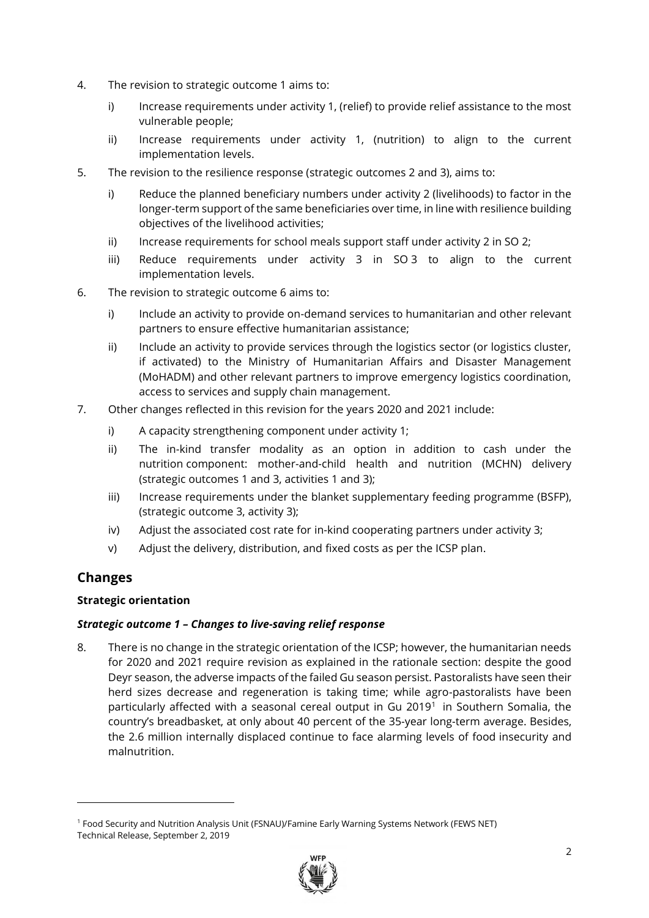- 4. The revision to strategic outcome 1 aims to:
	- i) Increase requirements under activity 1, (relief) to provide relief assistance to the most vulnerable people;
	- ii) Increase requirements under activity 1, (nutrition) to align to the current implementation levels.
- 5. The revision to the resilience response (strategic outcomes 2 and 3), aims to:
	- i) Reduce the planned beneficiary numbers under activity 2 (livelihoods) to factor in the longer-term support of the same beneficiaries over time, in line with resilience building objectives of the livelihood activities;
	- ii) Increase requirements for school meals support staff under activity 2 in SO 2;
	- iii) Reduce requirements under activity 3 in SO 3 to align to the current implementation levels.
- 6. The revision to strategic outcome 6 aims to:
	- i) Include an activity to provide on-demand services to humanitarian and other relevant partners to ensure effective humanitarian assistance;
	- ii) Include an activity to provide services through the logistics sector (or logistics cluster, if activated) to the Ministry of Humanitarian Affairs and Disaster Management (MoHADM) and other relevant partners to improve emergency logistics coordination, access to services and supply chain management.
- 7. Other changes reflected in this revision for the years 2020 and 2021 include:
	- i) A capacity strengthening component under activity 1;
	- ii) The in-kind transfer modality as an option in addition to cash under the nutrition component: mother-and-child health and nutrition (MCHN) delivery (strategic outcomes 1 and 3, activities 1 and 3);
	- iii) Increase requirements under the blanket supplementary feeding programme (BSFP), (strategic outcome 3, activity 3);
	- iv) Adjust the associated cost rate for in-kind cooperating partners under activity 3;
	- v) Adjust the delivery, distribution, and fixed costs as per the ICSP plan.

# **Changes**

## **Strategic orientation**

#### *Strategic outcome 1 – Changes to live-saving relief response*

8. There is no change in the strategic orientation of the ICSP; however, the humanitarian needs for 2020 and 2021 require revision as explained in the rationale section: despite the good Deyr season, the adverse impacts of the failed Gu season persist. Pastoralists have seen their herd sizes decrease and regeneration is taking time; while agro-pastoralists have been particularly affected with a seasonal cereal output in Gu 2019<sup>1</sup> in Southern Somalia, the country's breadbasket, at only about 40 percent of the 35-year long-term average. Besides, the 2.6 million internally displaced continue to face alarming levels of food insecurity and malnutrition.

<sup>1</sup> Food Security and Nutrition Analysis Unit (FSNAU)/Famine Early Warning Systems Network (FEWS NET) Technical Release, September 2, 2019

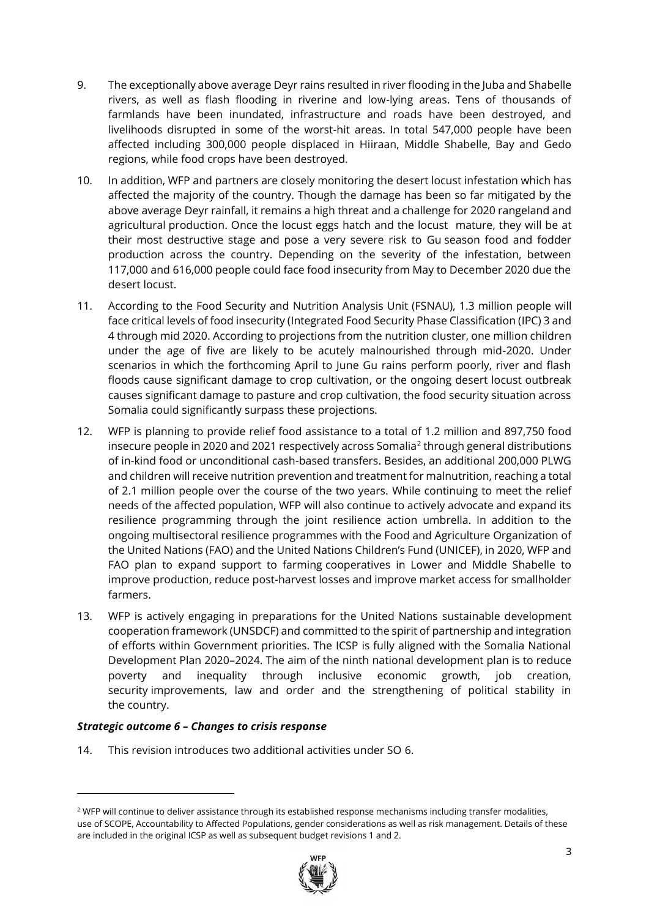- 9. The exceptionally above average Deyr rains resulted in river flooding in the Juba and Shabelle rivers, as well as flash flooding in riverine and low-lying areas. Tens of thousands of farmlands have been inundated, infrastructure and roads have been destroyed, and livelihoods disrupted in some of the worst-hit areas. In total 547,000 people have been affected including 300,000 people displaced in Hiiraan, Middle Shabelle, Bay and Gedo regions, while food crops have been destroyed.
- 10. In addition, WFP and partners are closely monitoring the desert locust infestation which has affected the majority of the country. Though the damage has been so far mitigated by the above average Deyr rainfall, it remains a high threat and a challenge for 2020 rangeland and agricultural production. Once the locust eggs hatch and the locust mature, they will be at their most destructive stage and pose a very severe risk to Gu season food and fodder production across the country. Depending on the severity of the infestation, between 117,000 and 616,000 people could face food insecurity from May to December 2020 due the desert locust.
- 11. According to the Food Security and Nutrition Analysis Unit (FSNAU), 1.3 million people will face critical levels of food insecurity (Integrated Food Security Phase Classification (IPC) 3 and 4 through mid 2020. According to projections from the nutrition cluster, one million children under the age of five are likely to be acutely malnourished through mid-2020. Under scenarios in which the forthcoming April to June Gu rains perform poorly, river and flash floods cause significant damage to crop cultivation, or the ongoing desert locust outbreak causes significant damage to pasture and crop cultivation, the food security situation across Somalia could significantly surpass these projections.
- 12. WFP is planning to provide relief food assistance to a total of 1.2 million and 897,750 food insecure people in 2020 and 2021 respectively across Somalia<sup>2</sup> through general distributions of in-kind food or unconditional cash-based transfers. Besides, an additional 200,000 PLWG and children will receive nutrition prevention and treatment for malnutrition, reaching a total of 2.1 million people over the course of the two years. While continuing to meet the relief needs of the affected population, WFP will also continue to actively advocate and expand its resilience programming through the joint resilience action umbrella. In addition to the ongoing multisectoral resilience programmes with the Food and Agriculture Organization of the United Nations (FAO) and the United Nations Children's Fund (UNICEF), in 2020, WFP and FAO plan to expand support to farming cooperatives in Lower and Middle Shabelle to improve production, reduce post-harvest losses and improve market access for smallholder farmers.
- 13. WFP is actively engaging in preparations for the United Nations sustainable development cooperation framework (UNSDCF) and committed to the spirit of partnership and integration of efforts within Government priorities. The ICSP is fully aligned with the Somalia National Development Plan 2020–2024. The aim of the ninth national development plan is to reduce poverty and inequality through inclusive economic growth, job creation, security improvements, law and order and the strengthening of political stability in the country.

#### *Strategic outcome 6 – Changes to crisis response*

14. This revision introduces two additional activities under SO 6.

<sup>&</sup>lt;sup>2</sup> WFP will continue to deliver assistance through its established response mechanisms including transfer modalities, use of SCOPE, Accountability to Affected Populations, gender considerations as well as risk management. Details of these are included in the original ICSP as well as subsequent budget revisions 1 and 2.

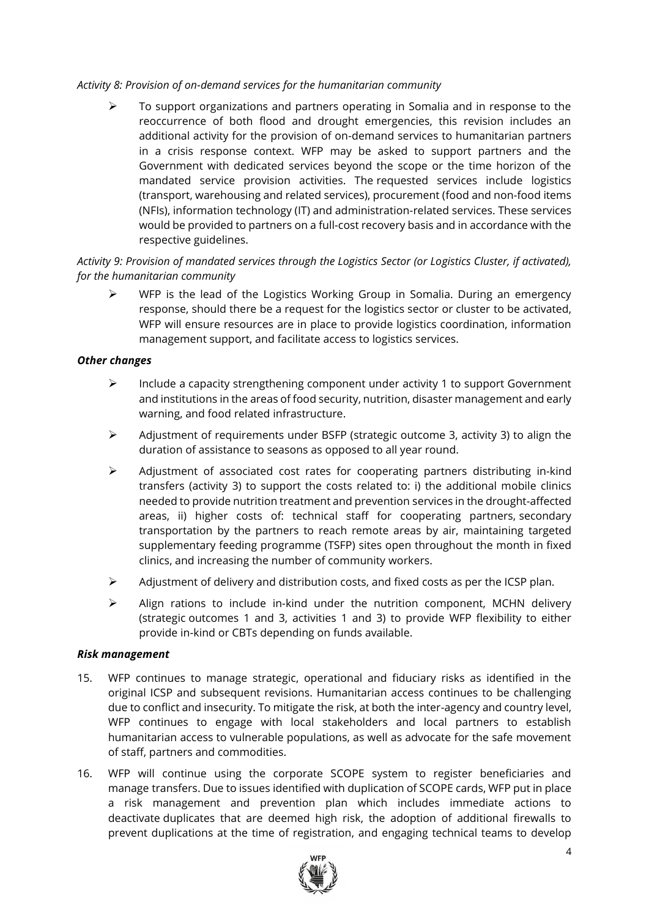#### *Activity 8: Provision of on-demand services for the humanitarian community*

 $\triangleright$  To support organizations and partners operating in Somalia and in response to the reoccurrence of both flood and drought emergencies, this revision includes an additional activity for the provision of on-demand services to humanitarian partners in a crisis response context. WFP may be asked to support partners and the Government with dedicated services beyond the scope or the time horizon of the mandated service provision activities. The requested services include logistics (transport, warehousing and related services), procurement (food and non-food items (NFIs), information technology (IT) and administration-related services. These services would be provided to partners on a full-cost recovery basis and in accordance with the respective guidelines.

## *Activity 9: Provision of mandated services through the Logistics Sector (or Logistics Cluster, if activated), for the humanitarian community*

 $\triangleright$  WFP is the lead of the Logistics Working Group in Somalia. During an emergency response, should there be a request for the logistics sector or cluster to be activated, WFP will ensure resources are in place to provide logistics coordination, information management support, and facilitate access to logistics services.

#### *Other changes*

- $\triangleright$  Include a capacity strengthening component under activity 1 to support Government and institutions in the areas of food security, nutrition, disaster management and early warning, and food related infrastructure.
- ➢ Adjustment of requirements under BSFP (strategic outcome 3, activity 3) to align the duration of assistance to seasons as opposed to all year round.
- ➢ Adjustment of associated cost rates for cooperating partners distributing in-kind transfers (activity 3) to support the costs related to: i) the additional mobile clinics needed to provide nutrition treatment and prevention services in the drought-affected areas, ii) higher costs of: technical staff for cooperating partners, secondary transportation by the partners to reach remote areas by air, maintaining targeted supplementary feeding programme (TSFP) sites open throughout the month in fixed clinics, and increasing the number of community workers.
- ➢ Adjustment of delivery and distribution costs, and fixed costs as per the ICSP plan.
- $\triangleright$  Align rations to include in-kind under the nutrition component, MCHN delivery (strategic outcomes 1 and 3, activities 1 and 3) to provide WFP flexibility to either provide in-kind or CBTs depending on funds available.

#### *Risk management*

- 15. WFP continues to manage strategic, operational and fiduciary risks as identified in the original ICSP and subsequent revisions. Humanitarian access continues to be challenging due to conflict and insecurity. To mitigate the risk, at both the inter-agency and country level, WFP continues to engage with local stakeholders and local partners to establish humanitarian access to vulnerable populations, as well as advocate for the safe movement of staff, partners and commodities.
- 16. WFP will continue using the corporate SCOPE system to register beneficiaries and manage transfers. Due to issues identified with duplication of SCOPE cards, WFP put in place a risk management and prevention plan which includes immediate actions to deactivate duplicates that are deemed high risk, the adoption of additional firewalls to prevent duplications at the time of registration, and engaging technical teams to develop

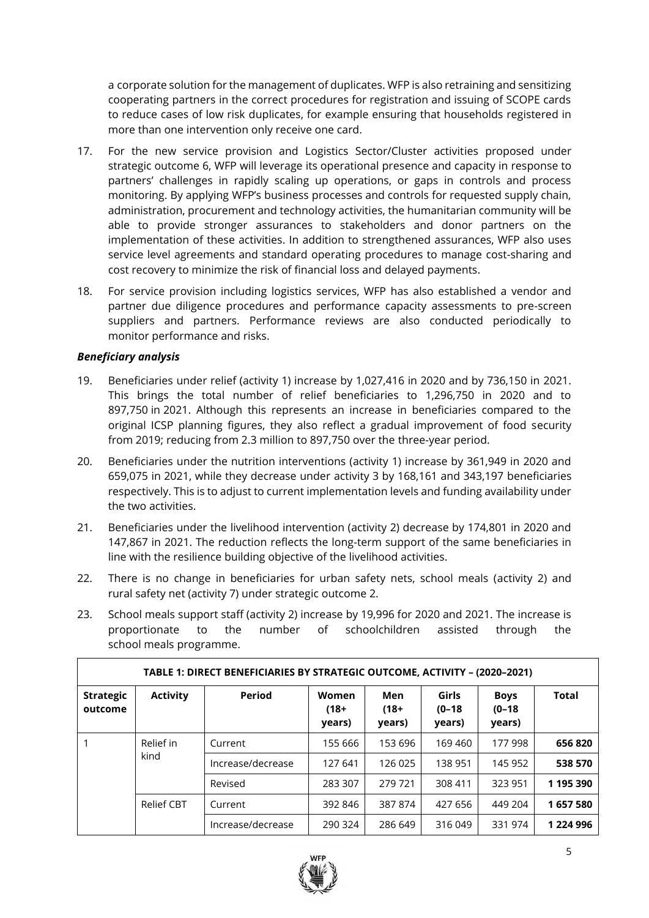a corporate solution for the management of duplicates. WFP is also retraining and sensitizing cooperating partners in the correct procedures for registration and issuing of SCOPE cards to reduce cases of low risk duplicates, for example ensuring that households registered in more than one intervention only receive one card.

- 17. For the new service provision and Logistics Sector/Cluster activities proposed under strategic outcome 6, WFP will leverage its operational presence and capacity in response to partners' challenges in rapidly scaling up operations, or gaps in controls and process monitoring. By applying WFP's business processes and controls for requested supply chain, administration, procurement and technology activities, the humanitarian community will be able to provide stronger assurances to stakeholders and donor partners on the implementation of these activities. In addition to strengthened assurances, WFP also uses service level agreements and standard operating procedures to manage cost-sharing and cost recovery to minimize the risk of financial loss and delayed payments.
- 18. For service provision including logistics services, WFP has also established a vendor and partner due diligence procedures and performance capacity assessments to pre-screen suppliers and partners. Performance reviews are also conducted periodically to monitor performance and risks.

## *Beneficiary analysis*

- 19. Beneficiaries under relief (activity 1) increase by 1,027,416 in 2020 and by 736,150 in 2021. This brings the total number of relief beneficiaries to 1,296,750 in 2020 and to 897,750 in 2021. Although this represents an increase in beneficiaries compared to the original ICSP planning figures, they also reflect a gradual improvement of food security from 2019; reducing from 2.3 million to 897,750 over the three-year period.
- 20. Beneficiaries under the nutrition interventions (activity 1) increase by 361,949 in 2020 and 659,075 in 2021, while they decrease under activity 3 by 168,161 and 343,197 beneficiaries respectively. This is to adjust to current implementation levels and funding availability under the two activities.
- 21. Beneficiaries under the livelihood intervention (activity 2) decrease by 174,801 in 2020 and 147,867 in 2021. The reduction reflects the long-term support of the same beneficiaries in line with the resilience building objective of the livelihood activities.
- 22. There is no change in beneficiaries for urban safety nets, school meals (activity 2) and rural safety net (activity 7) under strategic outcome 2.
- 23. School meals support staff (activity 2) increase by 19,996 for 2020 and 2021. The increase is proportionate to the number of schoolchildren assisted through the school meals programme.

|                             | TABLE 1: DIRECT BENEFICIARIES BY STRATEGIC OUTCOME, ACTIVITY - (2020-2021) |                   |                            |                          |                             |                                   |               |         |  |  |  |
|-----------------------------|----------------------------------------------------------------------------|-------------------|----------------------------|--------------------------|-----------------------------|-----------------------------------|---------------|---------|--|--|--|
| <b>Strategic</b><br>outcome | <b>Activity</b>                                                            | <b>Period</b>     | Women<br>$(18 +$<br>years) | Men<br>$(18 +$<br>years) | Girls<br>$(0-18)$<br>years) | <b>Boys</b><br>$(0-18)$<br>years) | Total         |         |  |  |  |
|                             | Relief in<br>kind                                                          | Current           | 155 666                    | 153 696                  | 169 460                     | 177 998                           | 656 820       |         |  |  |  |
|                             |                                                                            |                   | Increase/decrease          | 127 641                  | 126 025                     | 138 951                           | 145 952       | 538 570 |  |  |  |
|                             |                                                                            | Revised           | 283 307                    | 279 721                  | 308 411                     | 323 951                           | 1 195 390     |         |  |  |  |
|                             | <b>Relief CBT</b>                                                          | Current           | 392 846                    | 387874                   | 427 656                     | 449 204                           | 1657580       |         |  |  |  |
|                             |                                                                            | Increase/decrease | 290 324                    | 286 649                  | 316 049                     | 331 974                           | 1 2 2 4 9 9 6 |         |  |  |  |

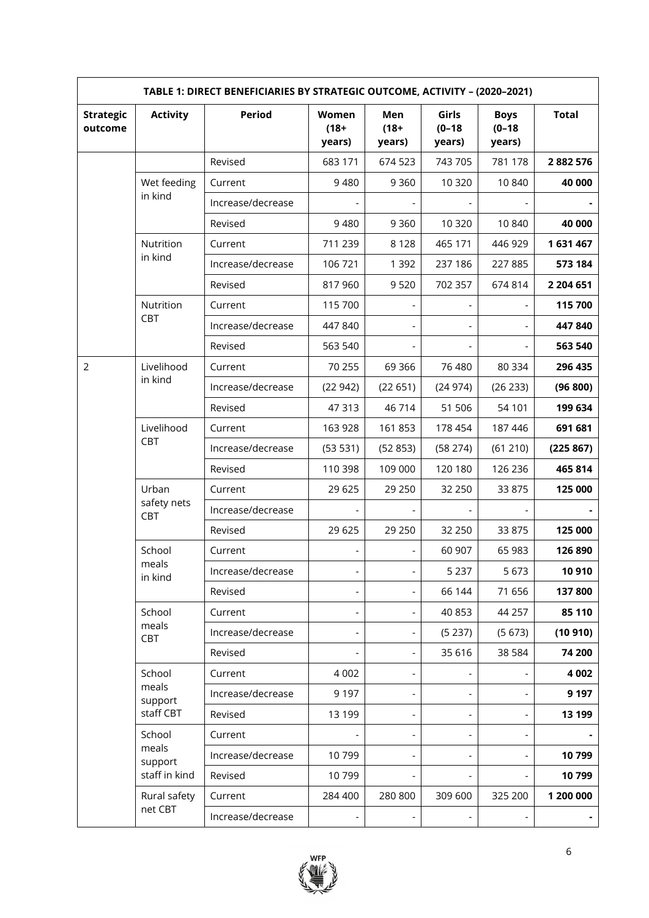| TABLE 1: DIRECT BENEFICIARIES BY STRATEGIC OUTCOME, ACTIVITY - (2020-2021) |                    |                   |                            |                          |                               |                                   |              |  |  |
|----------------------------------------------------------------------------|--------------------|-------------------|----------------------------|--------------------------|-------------------------------|-----------------------------------|--------------|--|--|
| <b>Strategic</b><br>outcome                                                | <b>Activity</b>    | <b>Period</b>     | Women<br>$(18 +$<br>years) | Men<br>$(18 +$<br>years) | Girls<br>$(0 - 18)$<br>years) | <b>Boys</b><br>$(0-18)$<br>years) | <b>Total</b> |  |  |
|                                                                            |                    | Revised           | 683 171                    | 674 523                  | 743 705                       | 781 178                           | 2882576      |  |  |
|                                                                            | Wet feeding        | Current           | 9480                       | 9 3 6 0                  | 10 320                        | 10 840                            | 40 000       |  |  |
|                                                                            | in kind            | Increase/decrease |                            |                          |                               |                                   |              |  |  |
|                                                                            |                    | Revised           | 9480                       | 9 3 6 0                  | 10 3 20                       | 10 840                            | 40 000       |  |  |
|                                                                            | Nutrition          | Current           | 711 239                    | 8 1 2 8                  | 465 171                       | 446 929                           | 1631467      |  |  |
|                                                                            | in kind            | Increase/decrease | 106 721                    | 1 3 9 2                  | 237 186                       | 227 885                           | 573 184      |  |  |
|                                                                            |                    | Revised           | 817960                     | 9520                     | 702 357                       | 674 814                           | 2 204 651    |  |  |
|                                                                            | Nutrition          | Current           | 115 700                    |                          |                               | ÷,                                | 115 700      |  |  |
|                                                                            | CBT                | Increase/decrease | 447 840                    |                          |                               | $\overline{\phantom{0}}$          | 447840       |  |  |
|                                                                            |                    | Revised           | 563 540                    |                          |                               | $\overline{\phantom{0}}$          | 563 540      |  |  |
| $\overline{2}$                                                             | Livelihood         | Current           | 70 255                     | 69 3 66                  | 76 480                        | 80 334                            | 296 435      |  |  |
|                                                                            | in kind            | Increase/decrease | (22942)                    | (22 651)                 | (24974)                       | (26 233)                          | (96 800)     |  |  |
|                                                                            |                    | Revised           | 47313                      | 46714                    | 51 506                        | 54 101                            | 199 634      |  |  |
|                                                                            | Livelihood         | Current           | 163 928                    | 161853                   | 178 454                       | 187 446                           | 691 681      |  |  |
|                                                                            | CBT                | Increase/decrease | (53 531)                   | (52853)                  | (58 274)                      | (61 210)                          | (225 867)    |  |  |
|                                                                            |                    | Revised           | 110 398                    | 109 000                  | 120 180                       | 126 236                           | 465 814      |  |  |
|                                                                            | Urban              | Current           | 29 6 25                    | 29 250                   | 32 250                        | 33 875                            | 125 000      |  |  |
|                                                                            | safety nets<br>CBT | Increase/decrease |                            |                          |                               |                                   |              |  |  |
|                                                                            |                    | Revised           | 29 6 25                    | 29 250                   | 32 250                        | 33 875                            | 125 000      |  |  |
|                                                                            | School             | Current           |                            |                          | 60 907                        | 65 983                            | 126 890      |  |  |
|                                                                            | meals<br>in kind   | Increase/decrease | $\overline{\phantom{0}}$   | $\overline{\phantom{0}}$ | 5 2 3 7                       | 5 6 7 3                           | 10 910       |  |  |
|                                                                            |                    | Revised           |                            |                          | 66 144                        | 71 656                            | 137800       |  |  |
|                                                                            | School             | Current           | -                          |                          | 40 853                        | 44 257                            | 85 110       |  |  |
|                                                                            | meals<br>CBT       | Increase/decrease |                            |                          | (5237)                        | (5673)                            | (10910)      |  |  |
|                                                                            |                    | Revised           |                            | $\overline{\phantom{0}}$ | 35 616                        | 38 5 84                           | 74 200       |  |  |
|                                                                            | School             | Current           | 4 0 0 2                    |                          |                               |                                   | 4 0 0 2      |  |  |
|                                                                            | meals<br>support   | Increase/decrease | 9 1 9 7                    |                          | $\overline{\phantom{a}}$      | $\blacksquare$                    | 9 1 9 7      |  |  |
|                                                                            | staff CBT          | Revised           | 13 199                     |                          | $\overline{\phantom{a}}$      | $\overline{\phantom{0}}$          | 13 199       |  |  |
|                                                                            | School             | Current           |                            |                          | $\overline{\phantom{a}}$      | $\overline{\phantom{a}}$          |              |  |  |
|                                                                            | meals<br>support   | Increase/decrease | 10799                      |                          | $\overline{\phantom{a}}$      |                                   | 10799        |  |  |
|                                                                            | staff in kind      | Revised           | 10799                      |                          |                               |                                   | 10799        |  |  |
|                                                                            | Rural safety       | Current           | 284 400                    | 280 800                  | 309 600                       | 325 200                           | 1 200 000    |  |  |
|                                                                            | net CBT            | Increase/decrease |                            |                          | $\overline{\phantom{a}}$      |                                   |              |  |  |

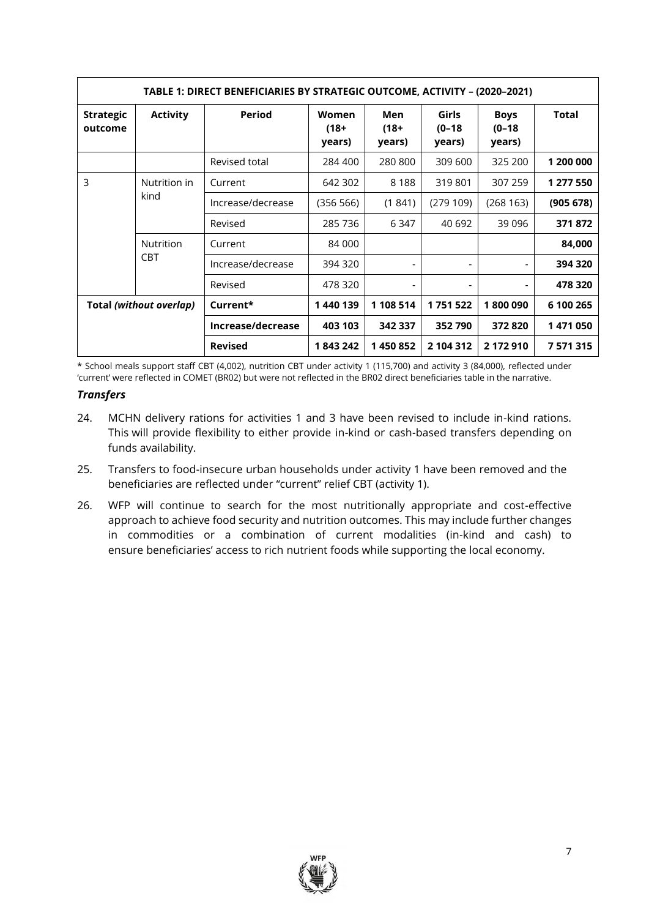| TABLE 1: DIRECT BENEFICIARIES BY STRATEGIC OUTCOME, ACTIVITY - (2020-2021) |                  |                   |                            |                          |                             |                                   |           |  |  |
|----------------------------------------------------------------------------|------------------|-------------------|----------------------------|--------------------------|-----------------------------|-----------------------------------|-----------|--|--|
| <b>Strategic</b><br>outcome                                                | <b>Activity</b>  | Period            | Women<br>$(18 +$<br>years) | Men<br>$(18 +$<br>years) | Girls<br>$(0-18)$<br>years) | <b>Boys</b><br>$(0-18)$<br>years) | Total     |  |  |
|                                                                            |                  | Revised total     | 284 400                    | 280 800                  | 309 600                     | 325 200                           | 1 200 000 |  |  |
| 3                                                                          | Nutrition in     | Current           | 642 302                    | 8 1 8 8                  | 319801                      | 307 259                           | 1 277 550 |  |  |
|                                                                            | kind             | Increase/decrease | (356 566)                  | (1841)                   | (279109)                    | (268163)                          | (905678)  |  |  |
|                                                                            |                  | Revised           | 285 736                    | 6 347                    | 40 692                      | 39 0 96                           | 371872    |  |  |
|                                                                            | <b>Nutrition</b> | Current           | 84 000                     |                          |                             |                                   | 84,000    |  |  |
|                                                                            | <b>CBT</b>       | Increase/decrease | 394 320                    | -                        | $\overline{\phantom{a}}$    | $\overline{\phantom{0}}$          | 394 320   |  |  |
|                                                                            |                  | Revised           | 478 320                    | $\overline{\phantom{a}}$ | $\overline{\phantom{a}}$    | $\overline{\phantom{a}}$          | 478 320   |  |  |
| Total (without overlap)                                                    |                  | Current*          | 1440 139                   | 1 108 514                | 1751522                     | 1800090                           | 6 100 265 |  |  |
|                                                                            |                  | Increase/decrease | 403 103                    | 342 337                  | 352790                      | 372 820                           | 1471050   |  |  |
|                                                                            |                  | <b>Revised</b>    | 1843242                    | 1450852                  | 2 104 312                   | 2 172 910                         | 7571315   |  |  |

\* School meals support staff CBT (4,002), nutrition CBT under activity 1 (115,700) and activity 3 (84,000), reflected under 'current' were reflected in COMET (BR02) but were not reflected in the BR02 direct beneficiaries table in the narrative.

## *Transfers*

- 24. MCHN delivery rations for activities 1 and 3 have been revised to include in-kind rations. This will provide flexibility to either provide in-kind or cash-based transfers depending on funds availability.
- 25. Transfers to food-insecure urban households under activity 1 have been removed and the beneficiaries are reflected under "current" relief CBT (activity 1).
- 26. WFP will continue to search for the most nutritionally appropriate and cost-effective approach to achieve food security and nutrition outcomes. This may include further changes in commodities or a combination of current modalities (in-kind and cash) to ensure beneficiaries' access to rich nutrient foods while supporting the local economy.

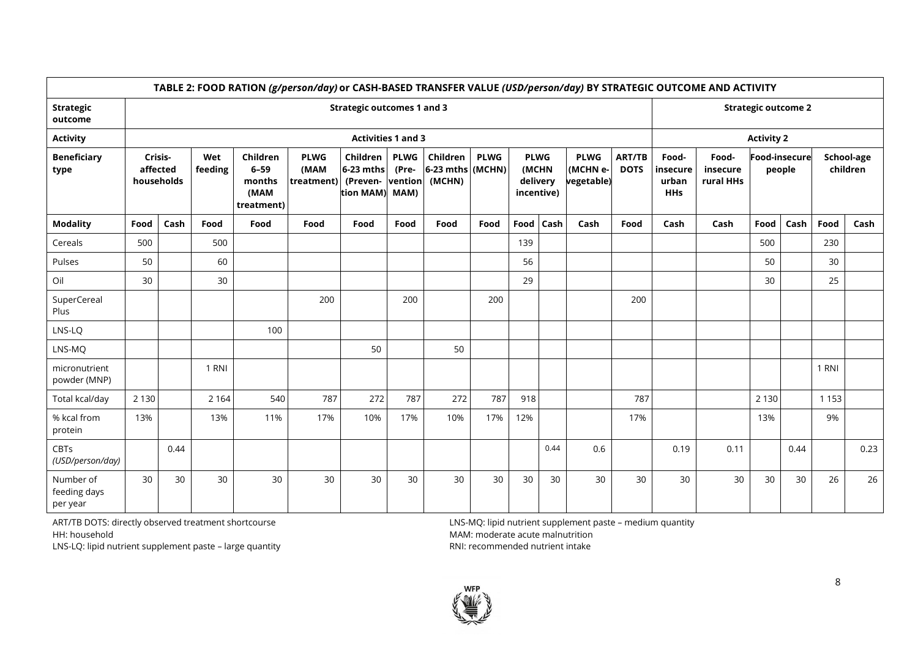|                                       | TABLE 2: FOOD RATION (g/person/day) or CASH-BASED TRANSFER VALUE (USD/person/day) BY STRATEGIC OUTCOME AND ACTIVITY |                                   |                |                                                      |                                   |                                                |                                         |                                          |             |                                                |      |                                       |                       |                                          |                                |                      |        |         |                        |
|---------------------------------------|---------------------------------------------------------------------------------------------------------------------|-----------------------------------|----------------|------------------------------------------------------|-----------------------------------|------------------------------------------------|-----------------------------------------|------------------------------------------|-------------|------------------------------------------------|------|---------------------------------------|-----------------------|------------------------------------------|--------------------------------|----------------------|--------|---------|------------------------|
| <b>Strategic</b><br>outcome           |                                                                                                                     | <b>Strategic outcomes 1 and 3</b> |                |                                                      |                                   |                                                |                                         |                                          |             |                                                |      |                                       |                       |                                          | <b>Strategic outcome 2</b>     |                      |        |         |                        |
| <b>Activity</b>                       |                                                                                                                     |                                   |                |                                                      |                                   | <b>Activities 1 and 3</b>                      |                                         |                                          |             |                                                |      |                                       |                       |                                          |                                | <b>Activity 2</b>    |        |         |                        |
| <b>Beneficiary</b><br>type            |                                                                                                                     | Crisis-<br>affected<br>households | Wet<br>feeding | Children<br>$6 - 59$<br>months<br>(MAM<br>treatment) | <b>PLWG</b><br>(MAM<br>treatment) | Children<br>6-23 mths<br>(Preven-<br>tion MAM) | <b>PLWG</b><br>(Pre-<br>vention<br>MAM) | Children<br>$6-23$ mths (MCHN)<br>(MCHN) | <b>PLWG</b> | <b>PLWG</b><br>(MCHN<br>delivery<br>incentive) |      | <b>PLWG</b><br>(MCHN e-<br>vegetable) | ART/TB<br><b>DOTS</b> | Food-<br>insecure<br>urban<br><b>HHs</b> | Food-<br>insecure<br>rural HHs | <b>Food-insecure</b> | people |         | School-age<br>children |
| <b>Modality</b>                       | Food                                                                                                                | Cash                              | Food           | Food                                                 | Food                              | Food                                           | Food                                    | Food                                     | Food        | <b>Food</b>                                    | Cash | Cash                                  | Food                  | Cash                                     | Cash                           | Food                 | Cash   | Food    | Cash                   |
| Cereals                               | 500                                                                                                                 |                                   | 500            |                                                      |                                   |                                                |                                         |                                          |             | 139                                            |      |                                       |                       |                                          |                                | 500                  |        | 230     |                        |
| Pulses                                | 50                                                                                                                  |                                   | 60             |                                                      |                                   |                                                |                                         |                                          |             | 56                                             |      |                                       |                       |                                          |                                | 50                   |        | 30      |                        |
| Oil                                   | 30                                                                                                                  |                                   | 30             |                                                      |                                   |                                                |                                         |                                          |             | 29                                             |      |                                       |                       |                                          |                                | 30                   |        | 25      |                        |
| SuperCereal<br>Plus                   |                                                                                                                     |                                   |                |                                                      | 200                               |                                                | 200                                     |                                          | 200         |                                                |      |                                       | 200                   |                                          |                                |                      |        |         |                        |
| LNS-LQ                                |                                                                                                                     |                                   |                | 100                                                  |                                   |                                                |                                         |                                          |             |                                                |      |                                       |                       |                                          |                                |                      |        |         |                        |
| LNS-MQ                                |                                                                                                                     |                                   |                |                                                      |                                   | 50                                             |                                         | 50                                       |             |                                                |      |                                       |                       |                                          |                                |                      |        |         |                        |
| micronutrient<br>powder (MNP)         |                                                                                                                     |                                   | 1 RNI          |                                                      |                                   |                                                |                                         |                                          |             |                                                |      |                                       |                       |                                          |                                |                      |        | 1 RNI   |                        |
| Total kcal/day                        | 2 1 3 0                                                                                                             |                                   | 2 1 6 4        | 540                                                  | 787                               | 272                                            | 787                                     | 272                                      | 787         | 918                                            |      |                                       | 787                   |                                          |                                | 2 1 3 0              |        | 1 1 5 3 |                        |
| % kcal from<br>protein                | 13%                                                                                                                 |                                   | 13%            | 11%                                                  | 17%                               | 10%                                            | 17%                                     | 10%                                      | 17%         | 12%                                            |      |                                       | 17%                   |                                          |                                | 13%                  |        | 9%      |                        |
| <b>CBTs</b><br>(USD/person/day)       |                                                                                                                     | 0.44                              |                |                                                      |                                   |                                                |                                         |                                          |             |                                                | 0.44 | 0.6                                   |                       | 0.19                                     | 0.11                           |                      | 0.44   |         | 0.23                   |
| Number of<br>feeding days<br>per year | 30                                                                                                                  | 30                                | 30             | 30                                                   | 30                                | 30                                             | 30                                      | 30                                       | 30          | 30                                             | 30   | 30                                    | 30                    | 30                                       | 30                             | 30                   | 30     | 26      | 26                     |

ART/TB DOTS: directly observed treatment shortcourse HH: household

LNS-LQ: lipid nutrient supplement paste – large quantity

LNS-MQ: lipid nutrient supplement paste – medium quantity MAM: moderate acute malnutrition RNI: recommended nutrient intake

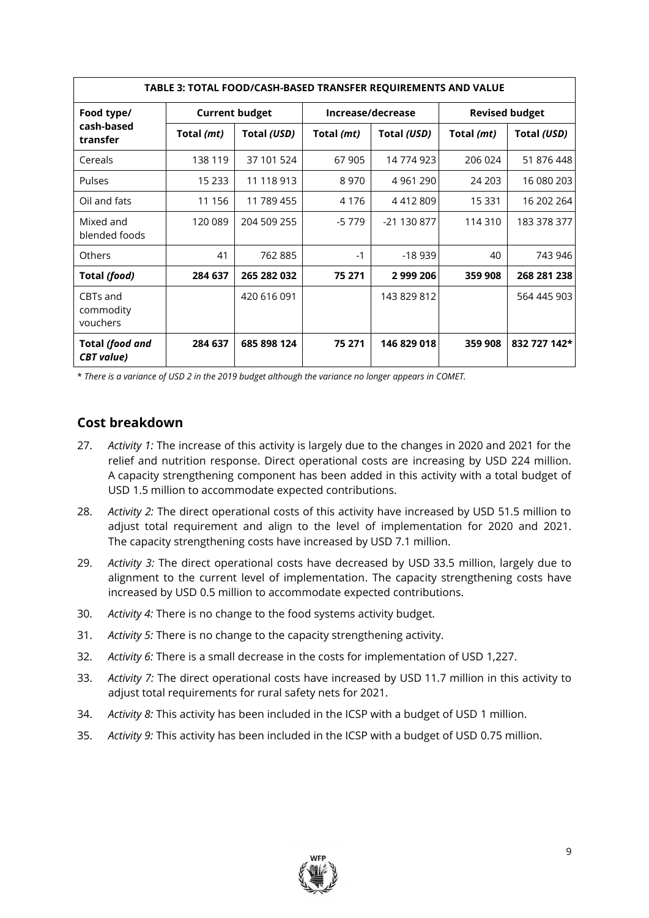| TABLE 3: TOTAL FOOD/CASH-BASED TRANSFER REQUIREMENTS AND VALUE |            |                       |            |                   |                       |              |  |  |  |
|----------------------------------------------------------------|------------|-----------------------|------------|-------------------|-----------------------|--------------|--|--|--|
| Food type/                                                     |            | <b>Current budget</b> |            | Increase/decrease | <b>Revised budget</b> |              |  |  |  |
| cash-based<br>transfer                                         | Total (mt) | Total (USD)           | Total (mt) | Total (USD)       | Total (mt)            | Total (USD)  |  |  |  |
| Cereals                                                        | 138 119    | 37 101 524            | 67 905     | 14 774 923        | 206 024               | 51 876 448   |  |  |  |
| Pulses                                                         | 15 2 33    | 11 118 913            | 8970       | 4 9 61 2 90       | 24 203                | 16 080 203   |  |  |  |
| Oil and fats                                                   | 11 156     | 11 789 455            | 4 1 7 6    | 4412809           | 15 331                | 16 202 264   |  |  |  |
| Mixed and<br>blended foods                                     | 120 089    | 204 509 255           | -5 779     | -21 130 877       | 114 310               | 183 378 377  |  |  |  |
| <b>Others</b>                                                  | 41         | 762 885               | $-1$       | $-18939$          | 40                    | 743 946      |  |  |  |
| Total (food)                                                   | 284 637    | 265 282 032           | 75 271     | 2 999 206         | 359 908               | 268 281 238  |  |  |  |
| CBTs and<br>commodity<br>vouchers                              |            | 420 616 091           |            | 143 829 812       |                       | 564 445 903  |  |  |  |
| Total (food and<br><b>CBT</b> value)                           | 284 637    | 685 898 124           | 75 271     | 146 829 018       | 359 908               | 832 727 142* |  |  |  |

\* *There is a variance of USD 2 in the 2019 budget although the variance no longer appears in COMET.*

# **Cost breakdown**

- 27. *Activity 1:* The increase of this activity is largely due to the changes in 2020 and 2021 for the relief and nutrition response. Direct operational costs are increasing by USD 224 million. A capacity strengthening component has been added in this activity with a total budget of USD 1.5 million to accommodate expected contributions.
- 28. *Activity 2:* The direct operational costs of this activity have increased by USD 51.5 million to adjust total requirement and align to the level of implementation for 2020 and 2021. The capacity strengthening costs have increased by USD 7.1 million.
- 29. *Activity 3:* The direct operational costs have decreased by USD 33.5 million, largely due to alignment to the current level of implementation. The capacity strengthening costs have increased by USD 0.5 million to accommodate expected contributions.
- 30. *Activity 4:* There is no change to the food systems activity budget.
- 31. *Activity 5:* There is no change to the capacity strengthening activity.
- 32. *Activity 6:* There is a small decrease in the costs for implementation of USD 1,227.
- 33. *Activity 7:* The direct operational costs have increased by USD 11.7 million in this activity to adjust total requirements for rural safety nets for 2021.
- 34. *Activity 8:* This activity has been included in the ICSP with a budget of USD 1 million.
- 35. *Activity 9:* This activity has been included in the ICSP with a budget of USD 0.75 million.

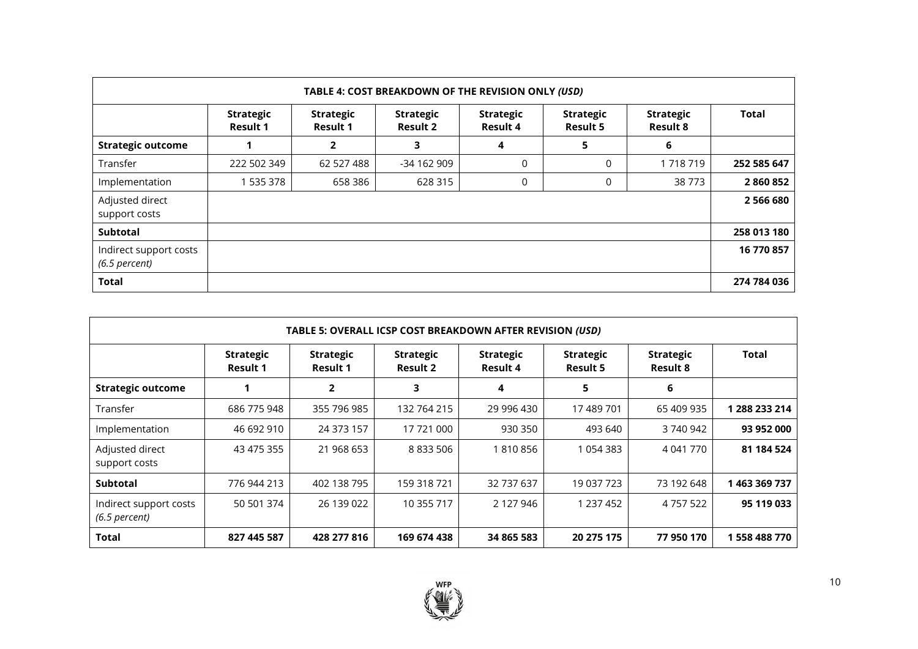| TABLE 4: COST BREAKDOWN OF THE REVISION ONLY (USD) |                                     |                                     |                                     |                                     |                                     |                                     |               |  |  |  |  |
|----------------------------------------------------|-------------------------------------|-------------------------------------|-------------------------------------|-------------------------------------|-------------------------------------|-------------------------------------|---------------|--|--|--|--|
|                                                    | <b>Strategic</b><br><b>Result 1</b> | <b>Strategic</b><br><b>Result 1</b> | <b>Strategic</b><br><b>Result 2</b> | <b>Strategic</b><br><b>Result 4</b> | <b>Strategic</b><br><b>Result 5</b> | <b>Strategic</b><br><b>Result 8</b> | <b>Total</b>  |  |  |  |  |
| <b>Strategic outcome</b>                           |                                     | 2                                   | 3                                   | 4                                   | 5                                   | 6                                   |               |  |  |  |  |
| Transfer                                           | 222 502 349                         | 62 527 488                          | -34 162 909                         | 0                                   | 0                                   | 1718719                             | 252 585 647   |  |  |  |  |
| Implementation                                     | 535 378                             | 658 386                             | 628 315                             | 0                                   | $\Omega$                            | 38 773                              | 2860852       |  |  |  |  |
| Adjusted direct<br>support costs                   |                                     |                                     |                                     |                                     |                                     |                                     | 2 5 6 6 6 8 0 |  |  |  |  |
| Subtotal                                           |                                     |                                     |                                     |                                     |                                     |                                     | 258 013 180   |  |  |  |  |
| Indirect support costs<br>$(6.5$ percent)          |                                     |                                     |                                     |                                     |                                     |                                     | 16 770 857    |  |  |  |  |
| <b>Total</b>                                       |                                     |                                     |                                     |                                     |                                     |                                     | 274 784 036   |  |  |  |  |

| TABLE 5: OVERALL ICSP COST BREAKDOWN AFTER REVISION (USD) |                                     |                              |                                     |                              |                              |                              |               |  |  |  |  |  |
|-----------------------------------------------------------|-------------------------------------|------------------------------|-------------------------------------|------------------------------|------------------------------|------------------------------|---------------|--|--|--|--|--|
|                                                           | <b>Strategic</b><br><b>Result 1</b> | <b>Strategic</b><br>Result 1 | <b>Strategic</b><br><b>Result 2</b> | <b>Strategic</b><br>Result 4 | <b>Strategic</b><br>Result 5 | <b>Strategic</b><br>Result 8 | Total         |  |  |  |  |  |
| <b>Strategic outcome</b>                                  |                                     | $\mathbf{2}$                 | 3                                   | 4                            | 5                            | 6                            |               |  |  |  |  |  |
| Transfer                                                  | 686 775 948                         | 355 796 985                  | 132 764 215                         | 29 996 430                   | 17 489 701                   | 65 409 935                   | 1 288 233 214 |  |  |  |  |  |
| Implementation                                            | 46 692 910                          | 24 373 157                   | 17 721 000                          | 930 350                      | 493 640                      | 3 740 942                    | 93 952 000    |  |  |  |  |  |
| Adjusted direct<br>support costs                          | 43 475 355                          | 21 968 653                   | 8 833 506                           | 1 810 856                    | 1 054 383                    | 4 041 770                    | 81 184 524    |  |  |  |  |  |
| <b>Subtotal</b>                                           | 776 944 213                         | 402 138 795                  | 159 318 721                         | 32 737 637                   | 19 037 723                   | 73 192 648                   | 1 463 369 737 |  |  |  |  |  |
| Indirect support costs<br>$(6.5$ percent)                 | 50 501 374                          | 26 139 022                   | 10 355 717                          | 2 127 946                    | 1 237 452                    | 4 757 522                    | 95 119 033    |  |  |  |  |  |
| Total                                                     | 827 445 587                         | 428 277 816                  | 169 674 438                         | 34 865 583                   | 20 275 175                   | 77 950 170                   | 1 558 488 770 |  |  |  |  |  |